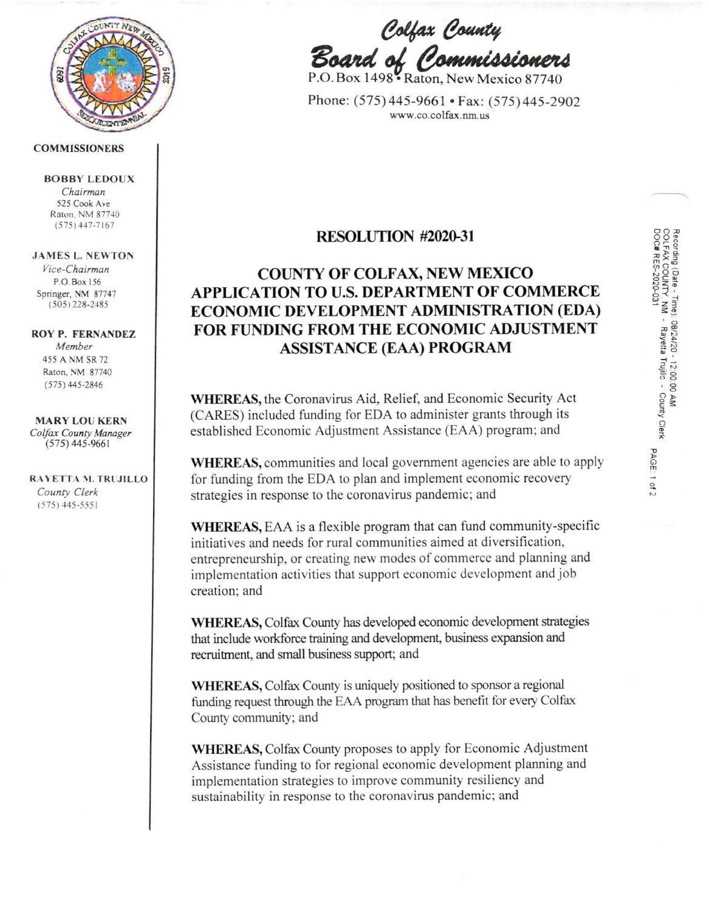

#### **COMMISSIONERS**

#### **BOBBY LEDOUX**

Chairman 525 Cook Avc Raton, NM 87740  $(575)$  447-7167

#### JAMES L. NEWTON

Vice-Chairman P.O. Box 156 Springer, NM 87747 (505 ) 228-2185

#### ROY P. FERNANDEZ

Member 455 A NM SR 72 Raton, NM 87740  $(575)$  445-2846

MARY LOU KERN Colfax County Manager  $(575)$  445-9661

#### RAYETTA M. TRUJILLO County Clerk  $(575)$  445-5551

Colfax County Board of Commissioner.

P.O. Box 1498 Raton, New Mexico 87740

Phone: (575) 445-9661 • Fax: (575) 445-2902 www.co.colfax.nm.us

### RESOLUTION #2O2G3I

## COUNTY OF COLFAX, NEW MEXICO APPLICATION TO U.S. DEPARTMENT OF COMMERCE ECONOMIC DEVELOPMENT ADMINISTRATION (EDA) FOR FUNDING FROM THE ECONOMIC ADJUSTMENT ASSISTANCE (EAA) PROGRAM

WHEREAS, the Coronavirus Aid, Relief, and Economic Security Act (CARES) included funding for EDA to administer grants though its established Economic Adjustment Assistance (EAA) program; and

WHEREAS, communities and local government agencies are able to apply for funding from the EDA to plan and implement economic recovery strategies in response to the coronavirus pandemic; and

WHEREAS, EAA is a flexible program that can fund community-specific initiatives and needs for rural communities aimed at diversification, entrepreneurship, or creating new modes of commerce and planning and implementation activities that support economic development and job creation; and

WHEREAS, Colfax County has developed economic development strategies that include workforce training and development, business expansion and recruitment, and small business support; and

WHEREAS, Colfax County is uniquely positioned to sponsor a regional funding request through the EAA program that has benefit for every Colfax County community; and

WHEREAS, Colfax County proposes to apply for Economic Adjustment Assistance funding to for regional economic development planning and implementation strategies to improve community resiliency and sustainability in response to the coronavirus pandemic; and